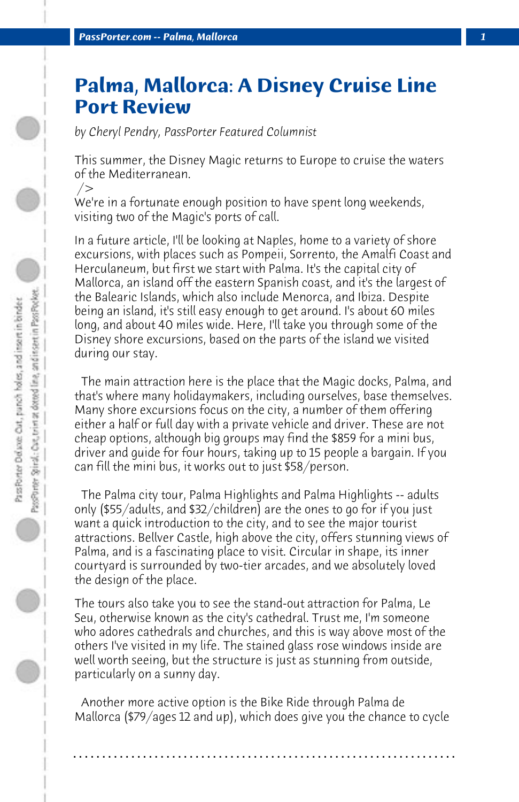## **Palma, Mallorca: A Disney Cruise Line Port Review**

*by Cheryl Pendry, PassPorter Featured Columnist*

This summer, the Disney Magic returns to Europe to cruise the waters of the Mediterranean.

/>

We're in a fortunate enough position to have spent long weekends, visiting two of the Magic's ports of call.

In a future article, I'll be looking at Naples, home to a variety of shore excursions, with places such as Pompeii, Sorrento, the Amalfi Coast and Herculaneum, but first we start with Palma. It's the capital city of Mallorca, an island off the eastern Spanish coast, and it's the largest of the Balearic Islands, which also include Menorca, and Ibiza. Despite being an island, it's still easy enough to get around. I's about 60 miles long, and about 40 miles wide. Here, I'll take you through some of the Disney shore excursions, based on the parts of the island we visited during our stay.

 The main attraction here is the place that the Magic docks, Palma, and that's where many holidaymakers, including ourselves, base themselves. Many shore excursions focus on the city, a number of them offering either a half or full day with a private vehicle and driver. These are not cheap options, although big groups may find the \$859 for a mini bus, driver and guide for four hours, taking up to 15 people a bargain. If you can fill the mini bus, it works out to just \$58/person.

 The Palma city tour, Palma Highlights and Palma Highlights -- adults only (\$55/adults, and \$32/children) are the ones to go for if you just want a quick introduction to the city, and to see the major tourist attractions. Bellver Castle, high above the city, offers stunning views of Palma, and is a fascinating place to visit. Circular in shape, its inner courtyard is surrounded by two-tier arcades, and we absolutely loved the design of the place.

The tours also take you to see the stand-out attraction for Palma, Le Seu, otherwise known as the city's cathedral. Trust me, I'm someone who adores cathedrals and churches, and this is way above most of the others I've visited in my life. The stained glass rose windows inside are well worth seeing, but the structure is just as stunning from outside, particularly on a sunny day.

 Another more active option is the Bike Ride through Palma de Mallorca (\$79/ages 12 and up), which does give you the chance to cycle

**. . . . . . . . . . . . . . . . . . . . . . . . . . . . . . . . . . . . . . . . . . . . . . . . . . . . . . . . . . . . . . . . . .**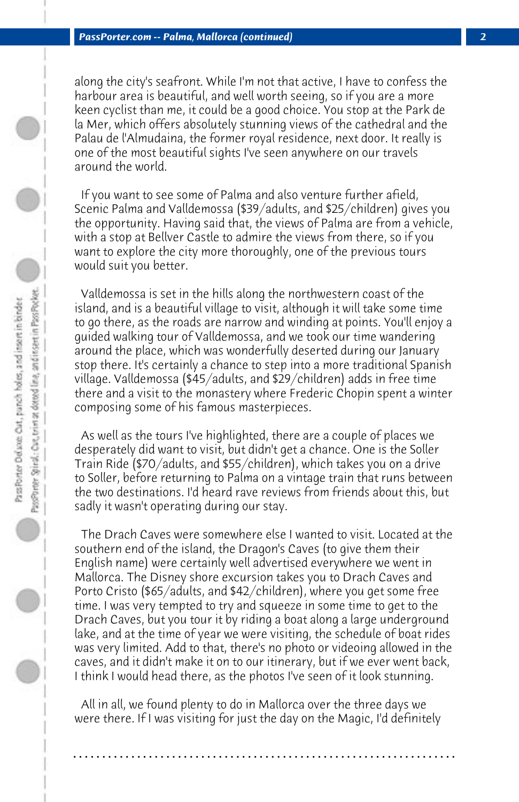along the city's seafront. While I'm not that active, I have to confess the harbour area is beautiful, and well worth seeing, so if you are a more keen cyclist than me, it could be a good choice. You stop at the Park de la Mer, which offers absolutely stunning views of the cathedral and the Palau de l'Almudaina, the former royal residence, next door. It really is one of the most beautiful sights I've seen anywhere on our travels around the world.

 If you want to see some of Palma and also venture further afield, Scenic Palma and Valldemossa (\$39/adults, and \$25/children) gives you the opportunity. Having said that, the views of Palma are from a vehicle, with a stop at Bellver Castle to admire the views from there, so if you want to explore the city more thoroughly, one of the previous tours would suit you better.

 Valldemossa is set in the hills along the northwestern coast of the island, and is a beautiful village to visit, although it will take some time to go there, as the roads are narrow and winding at points. You'll enjoy a guided walking tour of Valldemossa, and we took our time wandering around the place, which was wonderfully deserted during our January stop there. It's certainly a chance to step into a more traditional Spanish village. Valldemossa (\$45/adults, and \$29/children) adds in free time there and a visit to the monastery where Frederic Chopin spent a winter composing some of his famous masterpieces.

 As well as the tours I've highlighted, there are a couple of places we desperately did want to visit, but didn't get a chance. One is the Soller Train Ride (\$70/adults, and \$55/children), which takes you on a drive to Soller, before returning to Palma on a vintage train that runs between the two destinations. I'd heard rave reviews from friends about this, but sadly it wasn't operating during our stay.

 The Drach Caves were somewhere else I wanted to visit. Located at the southern end of the island, the Dragon's Caves (to give them their English name) were certainly well advertised everywhere we went in Mallorca. The Disney shore excursion takes you to Drach Caves and Porto Cristo (\$65/adults, and \$42/children), where you get some free time. I was very tempted to try and squeeze in some time to get to the Drach Caves, but you tour it by riding a boat along a large underground lake, and at the time of year we were visiting, the schedule of boat rides was very limited. Add to that, there's no photo or videoing allowed in the caves, and it didn't make it on to our itinerary, but if we ever went back, I think I would head there, as the photos I've seen of it look stunning.

 All in all, we found plenty to do in Mallorca over the three days we were there. If I was visiting for just the day on the Magic, I'd definitely

**. . . . . . . . . . . . . . . . . . . . . . . . . . . . . . . . . . . . . . . . . . . . . . . . . . . . . . . . . . . . . . . . . .**